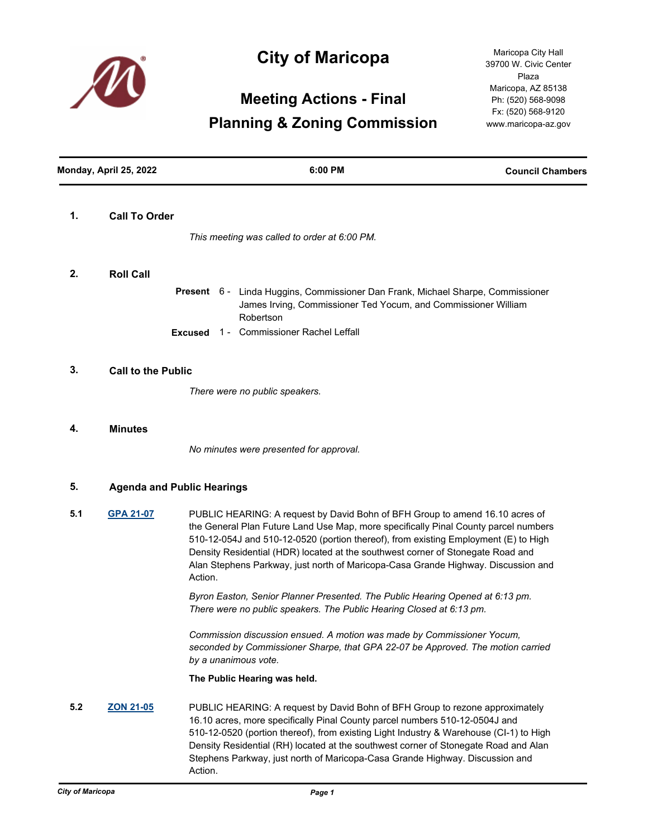

# **City of Maricopa**

# **Meeting Actions - Final Planning & Zoning Commission**

Maricopa City Hall 39700 W. Civic Center Plaza Maricopa, AZ 85138 Ph: (520) 568-9098 Fx: (520) 568-9120 www.maricopa-az.gov

| Monday, April 25, 2022 |                      | 6:00 PM                                                                                                                                                                                                                                                                                                                                                                                                                                       | <b>Council Chambers</b> |  |
|------------------------|----------------------|-----------------------------------------------------------------------------------------------------------------------------------------------------------------------------------------------------------------------------------------------------------------------------------------------------------------------------------------------------------------------------------------------------------------------------------------------|-------------------------|--|
| 1.                     | <b>Call To Order</b> |                                                                                                                                                                                                                                                                                                                                                                                                                                               |                         |  |
|                        |                      | This meeting was called to order at 6:00 PM.                                                                                                                                                                                                                                                                                                                                                                                                  |                         |  |
| 2.                     | <b>Roll Call</b>     |                                                                                                                                                                                                                                                                                                                                                                                                                                               |                         |  |
|                        |                      | Present 6 -<br>Linda Huggins, Commissioner Dan Frank, Michael Sharpe, Commissioner<br>James Irving, Commissioner Ted Yocum, and Commissioner William<br>Robertson                                                                                                                                                                                                                                                                             |                         |  |
|                        |                      | <b>Commissioner Rachel Leffall</b><br><b>Excused</b><br>$1 -$                                                                                                                                                                                                                                                                                                                                                                                 |                         |  |
| 3.                     |                      | <b>Call to the Public</b>                                                                                                                                                                                                                                                                                                                                                                                                                     |                         |  |
|                        |                      | There were no public speakers.                                                                                                                                                                                                                                                                                                                                                                                                                |                         |  |
| 4.                     | <b>Minutes</b>       |                                                                                                                                                                                                                                                                                                                                                                                                                                               |                         |  |
|                        |                      | No minutes were presented for approval.                                                                                                                                                                                                                                                                                                                                                                                                       |                         |  |
| 5.                     |                      | <b>Agenda and Public Hearings</b>                                                                                                                                                                                                                                                                                                                                                                                                             |                         |  |
| 5.1                    | <b>GPA 21-07</b>     | PUBLIC HEARING: A request by David Bohn of BFH Group to amend 16.10 acres of<br>the General Plan Future Land Use Map, more specifically Pinal County parcel numbers<br>510-12-054J and 510-12-0520 (portion thereof), from existing Employment (E) to High<br>Density Residential (HDR) located at the southwest corner of Stonegate Road and<br>Alan Stephens Parkway, just north of Maricopa-Casa Grande Highway. Discussion and<br>Action. |                         |  |
|                        |                      | Byron Easton, Senior Planner Presented. The Public Hearing Opened at 6:13 pm.<br>There were no public speakers. The Public Hearing Closed at 6:13 pm.                                                                                                                                                                                                                                                                                         |                         |  |
|                        |                      | Commission discussion ensued. A motion was made by Commissioner Yocum,<br>seconded by Commissioner Sharpe, that GPA 22-07 be Approved. The motion carried<br>by a unanimous vote.                                                                                                                                                                                                                                                             |                         |  |
|                        |                      | The Public Hearing was held.                                                                                                                                                                                                                                                                                                                                                                                                                  |                         |  |
| 5.2                    | <b>ZON 21-05</b>     | PUBLIC HEARING: A request by David Bohn of BFH Group to rezone approximately<br>16.10 acres, more specifically Pinal County parcel numbers 510-12-0504J and<br>510-12-0520 (portion thereof), from existing Light Industry & Warehouse (CI-1) to High<br>Density Residential (RH) located at the southwest corner of Stonegate Road and Alan<br>Stephens Parkway, just north of Maricopa-Casa Grande Highway. Discussion and<br>Action.       |                         |  |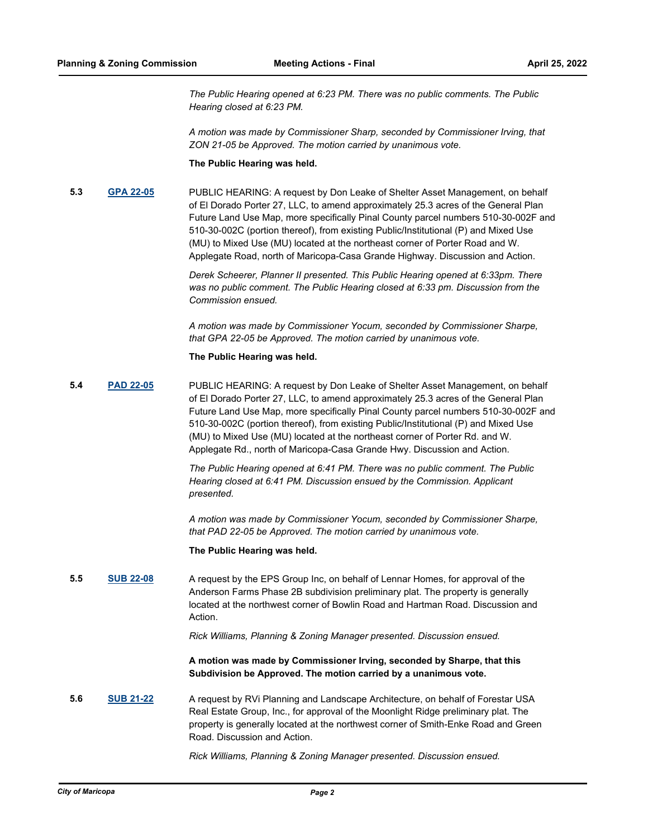*The Public Hearing opened at 6:23 PM. There was no public comments. The Public Hearing closed at 6:23 PM.*

*A motion was made by Commissioner Sharp, seconded by Commissioner Irving, that ZON 21-05 be Approved. The motion carried by unanimous vote.*

#### **The Public Hearing was held.**

**5.3 [GPA 22-05](http://maricopa.legistar.com/gateway.aspx?m=l&id=/matter.aspx?key=11204)** PUBLIC HEARING: A request by Don Leake of Shelter Asset Management, on behalf of El Dorado Porter 27, LLC, to amend approximately 25.3 acres of the General Plan Future Land Use Map, more specifically Pinal County parcel numbers 510-30-002F and 510-30-002C (portion thereof), from existing Public/Institutional (P) and Mixed Use (MU) to Mixed Use (MU) located at the northeast corner of Porter Road and W. Applegate Road, north of Maricopa-Casa Grande Highway. Discussion and Action.

> *Derek Scheerer, Planner II presented. This Public Hearing opened at 6:33pm. There was no public comment. The Public Hearing closed at 6:33 pm. Discussion from the Commission ensued.*

*A motion was made by Commissioner Yocum, seconded by Commissioner Sharpe, that GPA 22-05 be Approved. The motion carried by unanimous vote.*

#### **The Public Hearing was held.**

**5.4 [PAD 22-05](http://maricopa.legistar.com/gateway.aspx?m=l&id=/matter.aspx?key=11205)** PUBLIC HEARING: A request by Don Leake of Shelter Asset Management, on behalf of El Dorado Porter 27, LLC, to amend approximately 25.3 acres of the General Plan Future Land Use Map, more specifically Pinal County parcel numbers 510-30-002F and 510-30-002C (portion thereof), from existing Public/Institutional (P) and Mixed Use (MU) to Mixed Use (MU) located at the northeast corner of Porter Rd. and W. Applegate Rd., north of Maricopa-Casa Grande Hwy. Discussion and Action.

> *The Public Hearing opened at 6:41 PM. There was no public comment. The Public Hearing closed at 6:41 PM. Discussion ensued by the Commission. Applicant presented.*

> *A motion was made by Commissioner Yocum, seconded by Commissioner Sharpe, that PAD 22-05 be Approved. The motion carried by unanimous vote.*

#### **The Public Hearing was held.**

**5.5 [SUB 22-08](http://maricopa.legistar.com/gateway.aspx?m=l&id=/matter.aspx?key=11206)** A request by the EPS Group Inc, on behalf of Lennar Homes, for approval of the Anderson Farms Phase 2B subdivision preliminary plat. The property is generally located at the northwest corner of Bowlin Road and Hartman Road. Discussion and Action.

*Rick Williams, Planning & Zoning Manager presented. Discussion ensued.*

**A motion was made by Commissioner Irving, seconded by Sharpe, that this Subdivision be Approved. The motion carried by a unanimous vote.**

**5.6 [SUB 21-22](http://maricopa.legistar.com/gateway.aspx?m=l&id=/matter.aspx?key=11207)** A request by RVi Planning and Landscape Architecture, on behalf of Forestar USA Real Estate Group, Inc., for approval of the Moonlight Ridge preliminary plat. The property is generally located at the northwest corner of Smith-Enke Road and Green Road. Discussion and Action.

*Rick Williams, Planning & Zoning Manager presented. Discussion ensued.*